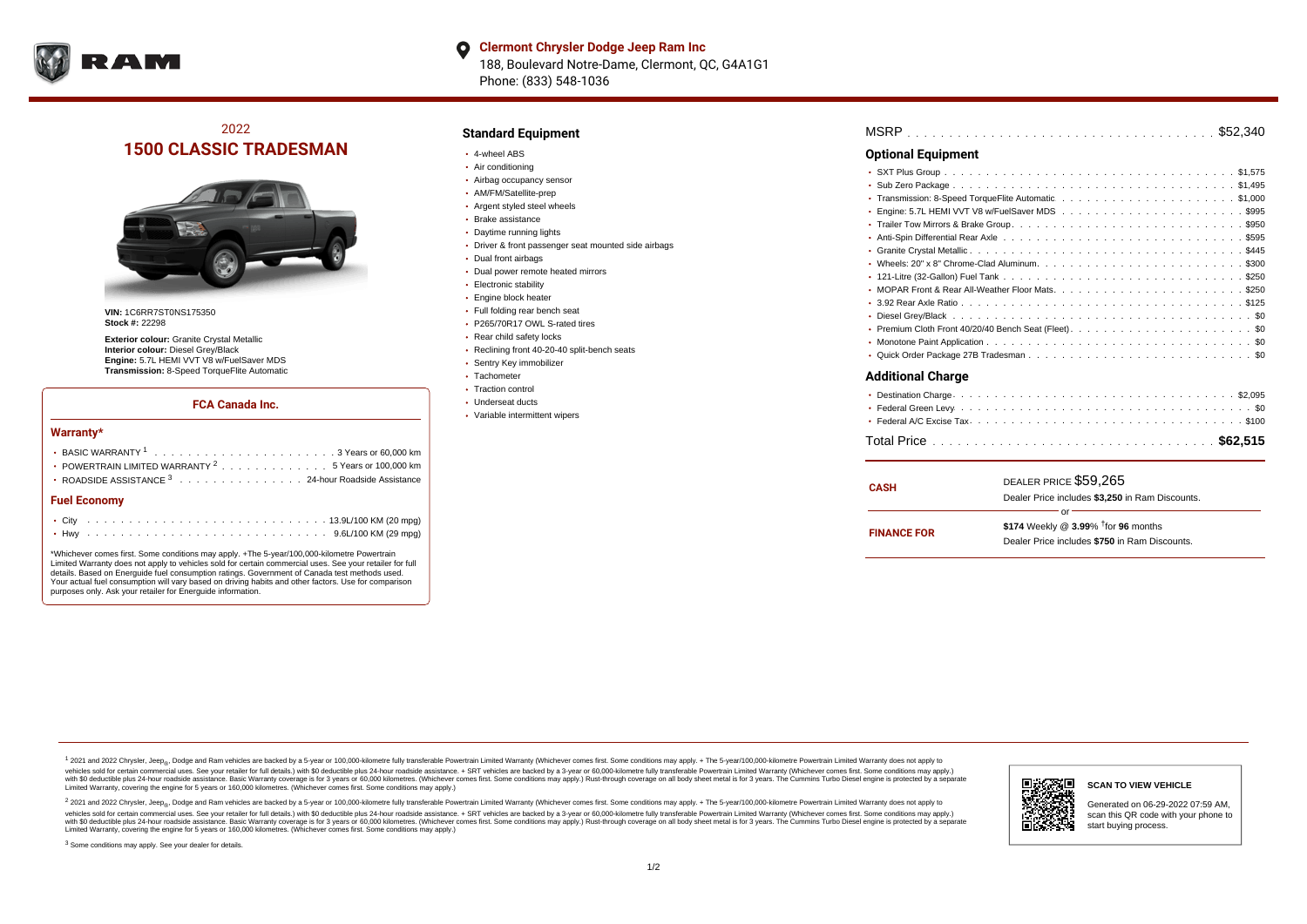

### **Clermont Chrysler Dodge Jeep Ram Inc**  $\bullet$ 188, Boulevard Notre-Dame, Clermont, QC, G4A1G1 Phone: (833) 548-1036

## 2022 **1500 CLASSIC TRADESMAN**



**VIN:** 1C6RR7ST0NS175350 **Stock #:** 22298

**Exterior colour:** Granite Crystal Metallic **Interior colour:** Diesel Grey/Black **Engine:** 5.7L HEMI VVT V8 w/FuelSaver MDS **Transmission:** 8-Speed TorqueFlite Automatic

### **FCA Canada Inc.**

#### **Warranty\***

| • POWERTRAIN LIMITED WARRANTY <sup>2</sup> 5 Years or 100,000 km<br>• ROADSIDE ASSISTANCE 3 24-hour Roadside Assistance |  |  |  |  |  |  |  |  |  |  |  |  |  |  |  |  |  |
|-------------------------------------------------------------------------------------------------------------------------|--|--|--|--|--|--|--|--|--|--|--|--|--|--|--|--|--|
| <b>Fuel Economy</b>                                                                                                     |  |  |  |  |  |  |  |  |  |  |  |  |  |  |  |  |  |
|                                                                                                                         |  |  |  |  |  |  |  |  |  |  |  |  |  |  |  |  |  |
|                                                                                                                         |  |  |  |  |  |  |  |  |  |  |  |  |  |  |  |  |  |

\*Whichever comes first. Some conditions may apply. +The 5-year/100,000-kilometre Powertrain Limited Warranty does not apply to vehicles sold for certain commercial uses. See your retailer for full details. Based on Energuide fuel consumption ratings. Government of Canada test methods used. Your actual fuel consumption will vary based on driving habits and other factors. Use for comparison purposes only. Ask your retailer for Energuide information.

## **Standard Equipment**

- 4-wheel ABS
- Air conditioning
- Airbag occupancy sensor
- AM/FM/Satellite-prep
- Argent styled steel wheels
- Brake assistance
- Daytime running lights
- Driver & front passenger seat mounted side airbags
- Dual front airbags
- Dual power remote heated mirrors
- **Electronic stability**
- Engine block heater
- Full folding rear bench seat
- P265/70R17 OWL S-rated tires
- Rear child safety locks
- Reclining front 40-20-40 split-bench seats
- Sentry Key immobilizer
- Tachometer • Traction control
- Underseat ducts
- Variable intermittent wipers

## **Optional Equipment**

#### **Additional Charge**

| <b>CASH</b>        | DEALER PRICE \$59,265                              |
|--------------------|----------------------------------------------------|
|                    | Dealer Price includes \$3,250 in Ram Discounts.    |
|                    | nr                                                 |
|                    | \$174 Weekly @ $3.99\%$ <sup>†</sup> for 96 months |
| <b>FINANCE FOR</b> | Dealer Price includes \$750 in Ram Discounts.      |
|                    |                                                    |

<sup>1</sup> 2021 and 2022 Chrysler, Jeep<sub>®</sub>, Dodge and Ram vehicles are backed by a 5-year or 100,000-kilometre fully transferable Powertrain Limited Warranty (Whichever comes first. Some conditions may apply. + The 5-year/100,000 vehicles sold for certain commercial uses. See your retailer for full details.) with \$0 deductible plus 24-hour roadside assistance. + SRT vehicles are backed by a 3-year or 60,000-kilometre fully transferable Powertrain L versus and contract the mean of the contract of the contract with a contract with a contract the contract of the contract of the contract the contract of the contract of the contract of the contract of the contract of the Limited Warranty, covering the engine for 5 years or 160,000 kilometres. (Whichever comes first. Some conditions may apply.)

2 2021 and 2022 Chrysler, Jeep<sub>®</sub>, Dodge and Ram vehicles are backed by a 5-year or 100,000-kilometre fully transferable Powertrain Limited Warranty (Whichever comes first. Some conditions may apply. + The 5-year/100,000-k vehicles sold for certain commercial uses. See your retailer for full details.) with SO deductible plus 24-hour roadside assistance. + SRT vehicles are backed by a 3-year or 60.000-kilometre fully transferable Powertrain L with S0 deductible plus 24-hour roadside assistance. Basic Warranty coverage is for 3 years or 60,000 kilometres. (Whichever comes first. Some conditions may apply.) Rust-through coverage on all body sheet metal is for 3 y



**SCAN TO VIEW VEHICLE**

Generated on 06-29-2022 07:59 AM, scan this QR code with your phone to start buying process.

<sup>3</sup> Some conditions may apply. See your dealer for details.